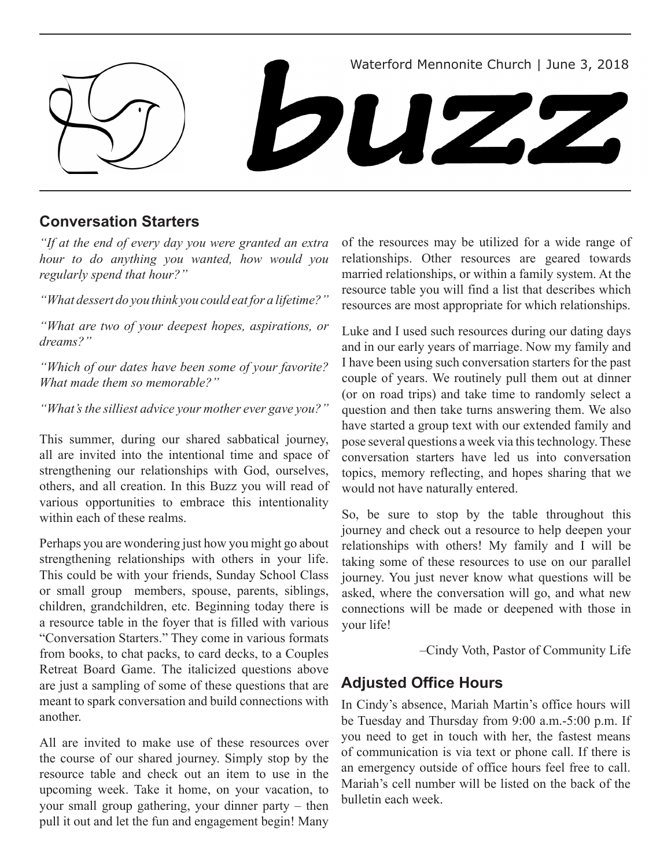

# **Conversation Starters**

*"If at the end of every day you were granted an extra hour to do anything you wanted, how would you regularly spend that hour?"*

*"What dessert do you think you could eat for a lifetime?"*

*"What are two of your deepest hopes, aspirations, or dreams?"*

*"Which of our dates have been some of your favorite? What made them so memorable?"*

*"What's the silliest advice your mother ever gave you?"*

This summer, during our shared sabbatical journey, all are invited into the intentional time and space of strengthening our relationships with God, ourselves, others, and all creation. In this Buzz you will read of various opportunities to embrace this intentionality within each of these realms.

Perhaps you are wondering just how you might go about strengthening relationships with others in your life. This could be with your friends, Sunday School Class or small group members, spouse, parents, siblings, children, grandchildren, etc. Beginning today there is a resource table in the foyer that is filled with various "Conversation Starters." They come in various formats from books, to chat packs, to card decks, to a Couples Retreat Board Game. The italicized questions above are just a sampling of some of these questions that are meant to spark conversation and build connections with another.

All are invited to make use of these resources over the course of our shared journey. Simply stop by the resource table and check out an item to use in the upcoming week. Take it home, on your vacation, to your small group gathering, your dinner party – then pull it out and let the fun and engagement begin! Many

of the resources may be utilized for a wide range of relationships. Other resources are geared towards married relationships, or within a family system. At the resource table you will find a list that describes which resources are most appropriate for which relationships.

Luke and I used such resources during our dating days and in our early years of marriage. Now my family and I have been using such conversation starters for the past couple of years. We routinely pull them out at dinner (or on road trips) and take time to randomly select a question and then take turns answering them. We also have started a group text with our extended family and pose several questions a week via this technology. These conversation starters have led us into conversation topics, memory reflecting, and hopes sharing that we would not have naturally entered.

So, be sure to stop by the table throughout this journey and check out a resource to help deepen your relationships with others! My family and I will be taking some of these resources to use on our parallel journey. You just never know what questions will be asked, where the conversation will go, and what new connections will be made or deepened with those in your life!

–Cindy Voth, Pastor of Community Life

## **Adjusted Office Hours**

In Cindy's absence, Mariah Martin's office hours will be Tuesday and Thursday from 9:00 a.m.-5:00 p.m. If you need to get in touch with her, the fastest means of communication is via text or phone call. If there is an emergency outside of office hours feel free to call. Mariah's cell number will be listed on the back of the bulletin each week.